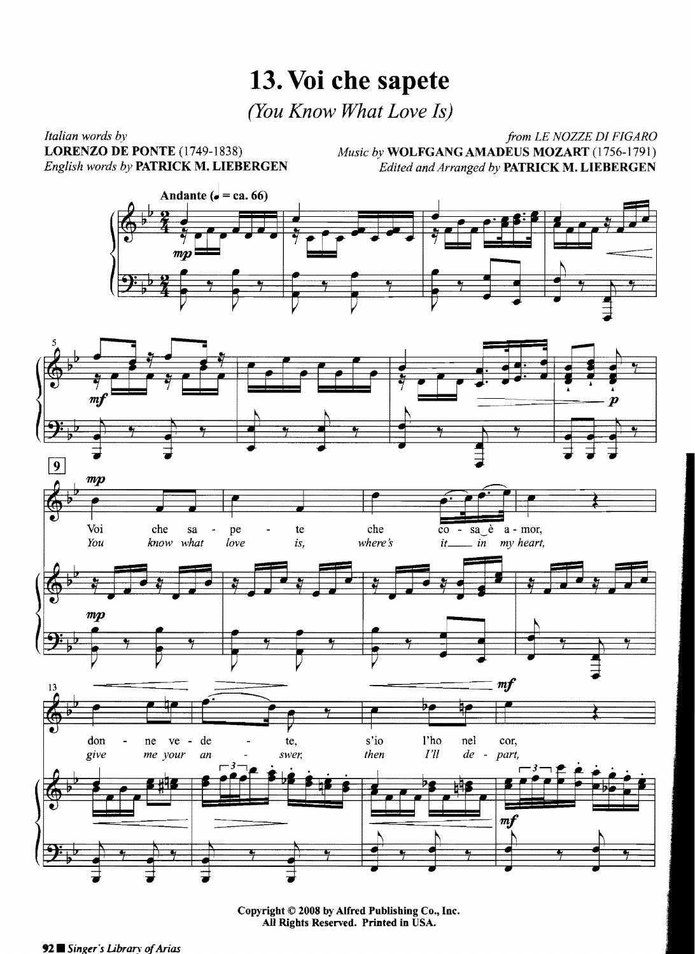## **13. Voi che sapete**

*(You Know What Love Is)* 

*Italian words by*<br> *Italian words by*<br> **IORENZO DE PONTE** (1749-1838) *Music by* **WOLFGANG AMADEUS MOZART** (1756-1791) LORENZO DE PONTE (1749-1838)<br>*English words by* **PATRICK M. LIEBERGEN** *Music by* **WOLFGANG AMADEUS MOZART** (1756-1791)<br>*Edited and Arranged by* **PATRICK M. LIEBERGEN** *English words by* PATRICK M. LIEBERGEN *Edited andArranged by* PATRICK M. LIEBERGEN





Copyright © 2008 by Alfred Publishing Co., Inc. All Rights Reserved. Printed in USA.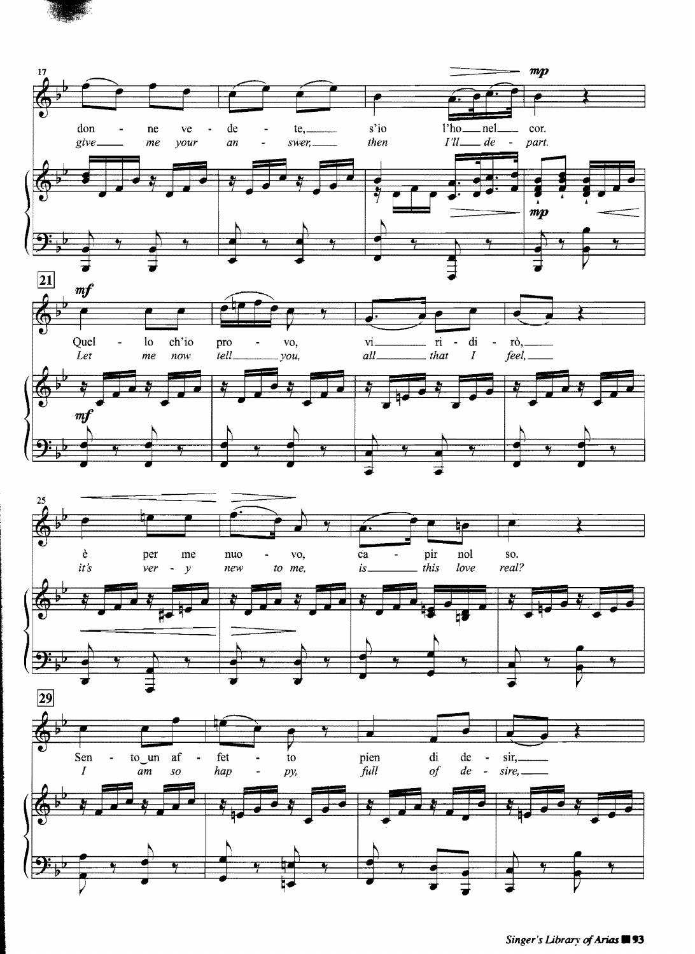

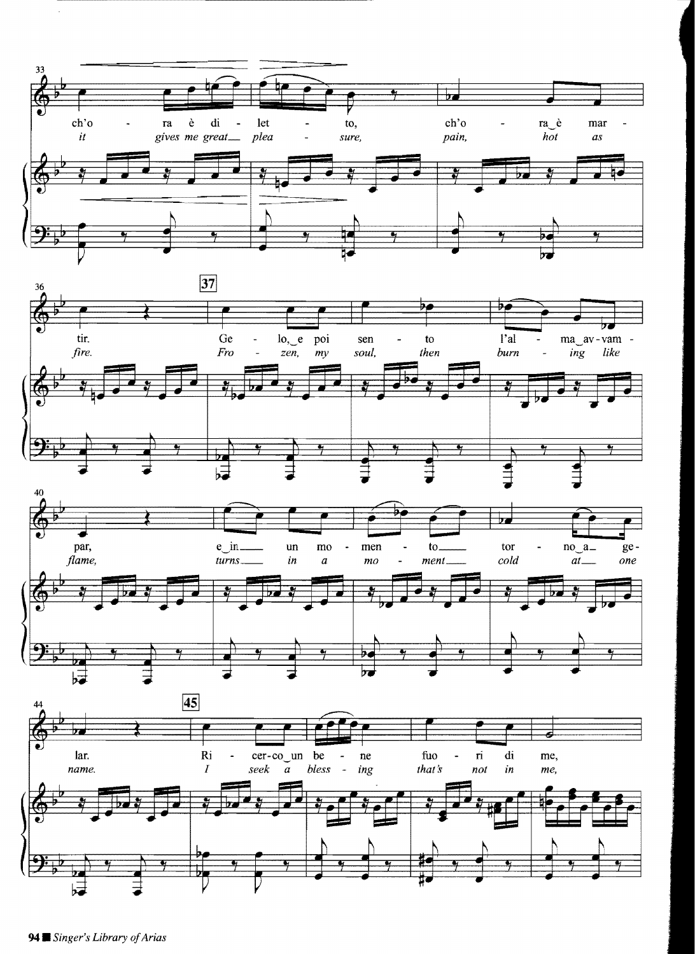





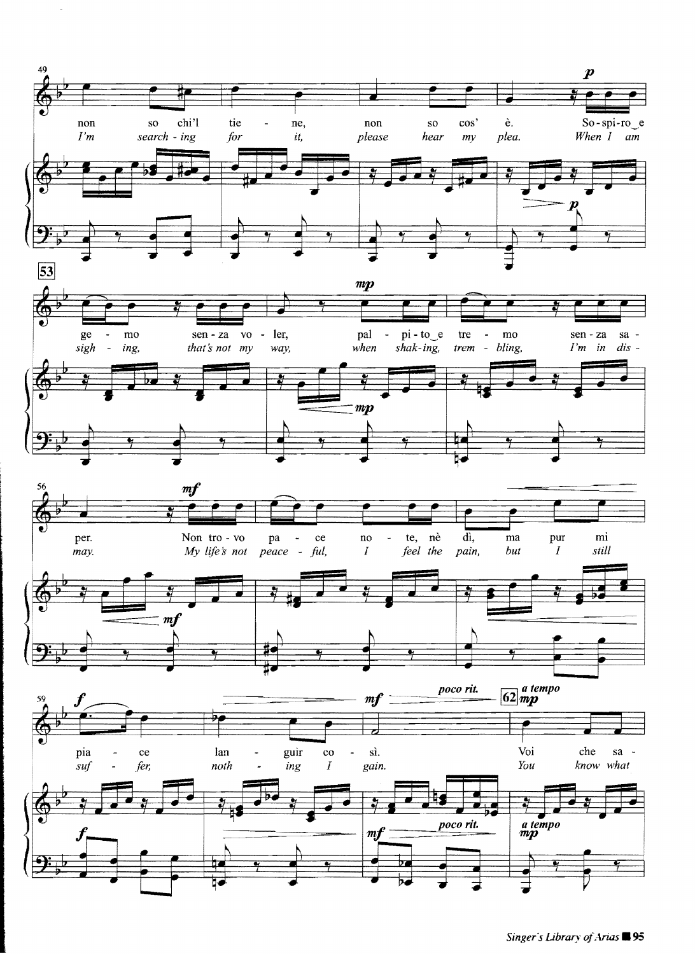